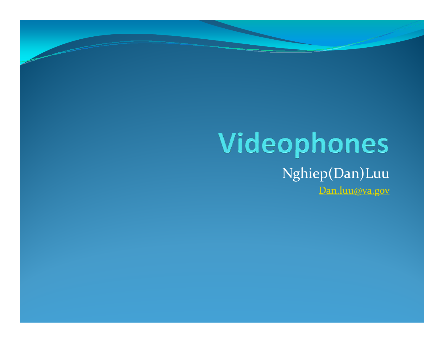#### Videophones Nghiep(Dan)Luu

Dan.luu@va.gov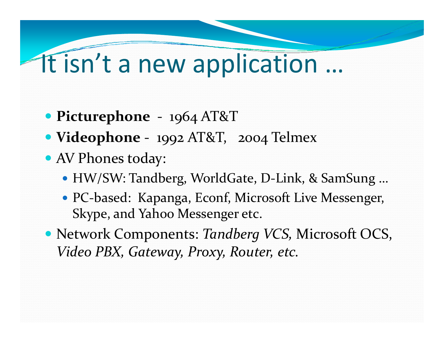#### It isn't a new application ...

- Picturephone  $1964 \text{ AT&ampT}$
- Videophone 1992 AT&T, 2004 Telmex
- AV Phones today:
	- HW/SW: Tandberg, WorldGate, D-Link, & SamSung ...
	- PC-based: Kapanga, Econf, Microsoft Live Messenger, Skype, and Yahoo Messenger etc.
- Network Components: Tandberg VCS, Microsoft OCS, Video PBX, Gateway, Proxy, Router, etc.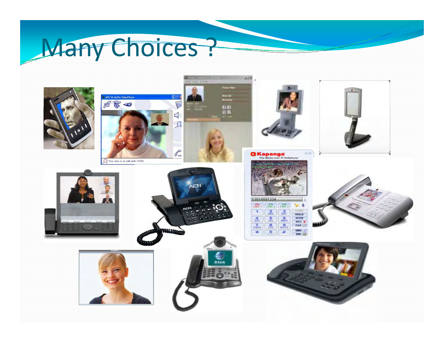## Many Choices?

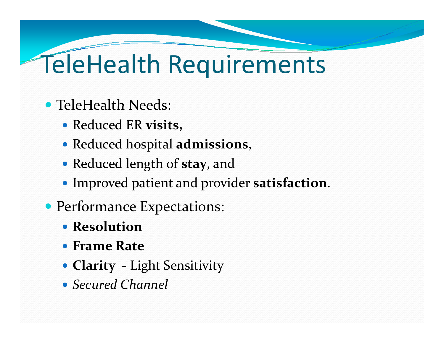## **TeleHealth Requirements**

#### • TeleHealth Needs:

- Reduced ER visits,
- Reduced hospital admissions,
- Reduced length of stay, and
- Improved patient and provider satisfaction.
- Performance Expectations:
	- Resolution
	- Frame Rate
	- Clarity Light Sensitivity
	- Secured Channel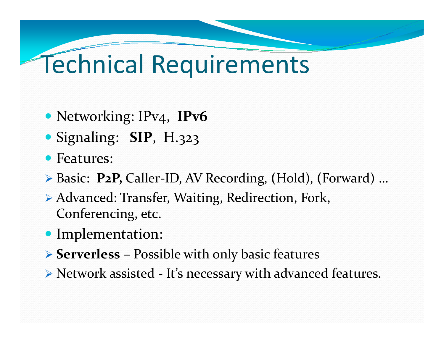## Technical Requirements

- Networking: IPv4, IPv6
- y Signaling: **SIP**, H.323
- Features:
- ¾ Basic: **P2P,** Caller‐ID, AV Recording, **(**Hold), **(**Forward) …
- ▶ Advanced: Transfer, Waiting, Redirection, Fork, Conferencing, etc.
- Implementation:
- ¾ **Serverless** Possible with only basic features
- ¾ Network assisted ‐ It's necessary with advanced features.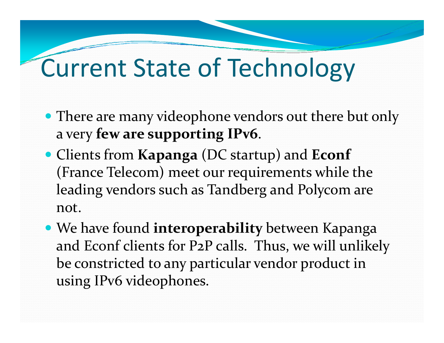### **Current State of Technology**

- There are many videophone vendors out there but only a very few are supporting IPv6.
- Clients from Kapanga (DC startup) and Econf (France Telecom) meet our requirements while the leading vendors such as Tandberg and Polycom are not.
- We have found interoperability between Kapanga and Econf clients for P2P calls. Thus, we will unlikely be constricted to any particular vendor product in using IPv6 videophones.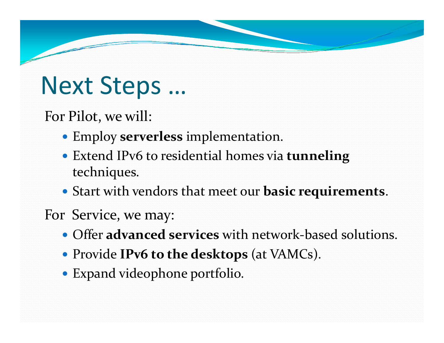### Next Steps …

For Pilot, we will:

- **Employ serverless** implementation.
- **Extend IPv6 to residential homes via tunneling** techniques.
- y Start with vendors that meet our **basic requirements** .
- For Service, we may:
	- Offer **advanced services** with network-based solutions.
	- y Provide **IPv6 to the desktops** (at VAMCs).
	- Expand videophone portfolio.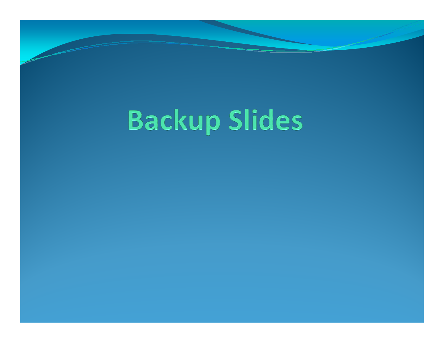# **Backup Slides**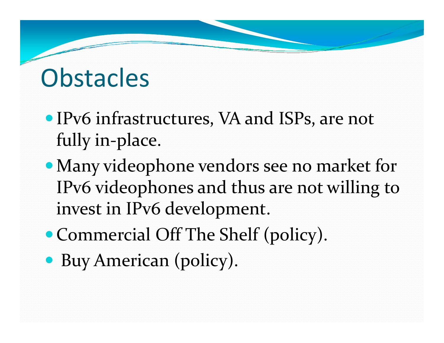### **Obstacles**

- IPv6 infrastructures, VA and ISPs, are not fully in‐place.
- Many videophone vendors see no market for IPv6 videophones and thus are not willing to invest in IPv6 development.
- Commercial Off The Shelf (policy).
- Buy American (policy).